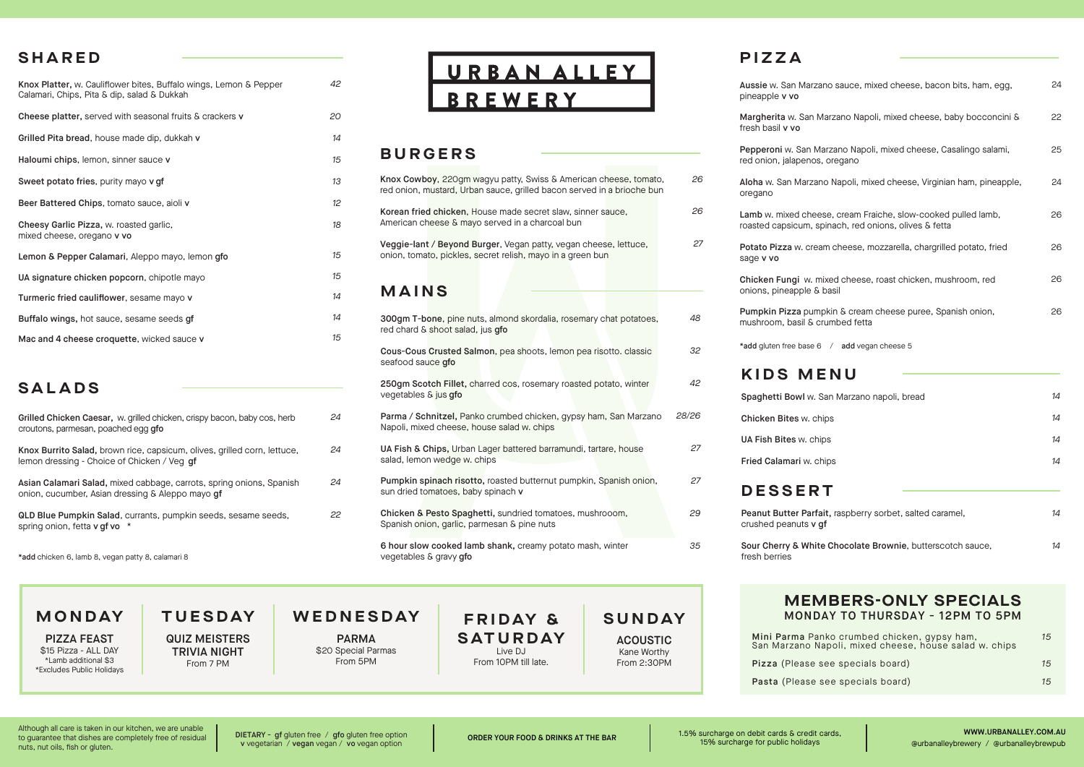## **SHARED**

Knox Platter, w. Cauliflower bites, Buffalo wings, Lemon & Pepper Calamari, Chips, Pita & dip, salad & Dukkah Cheese platter, served with seasonal fruits & crackers v Grilled Pita bread, house made dip, dukkah v Haloumi chips, lemon, sinner sauce v Sweet potato fries, purity mayo v of

| Beer Battered Chips, tomato sauce, aioli v                            |
|-----------------------------------------------------------------------|
| Cheesy Garlic Pizza, w. roasted garlic,<br>mixed cheese, oregano v vo |
| Lemon & Pepper Calamari, Aleppo mayo, lemon gfo                       |
| UA signature chicken popcorn, chipotle mayo                           |
| Turmeric fried cauliflower, sesame mayo v                             |
| Buffalo wings, hot sauce, sesame seeds qf                             |
| Mac and 4 cheese croquette, wicked sauce v                            |

# **SALADS**

| Grilled Chicken Caesar, w. grilled chicken, crispy bacon, baby cos, herb<br>croutons, parmesan, poached egg gfo          |
|--------------------------------------------------------------------------------------------------------------------------|
| Knox Burrito Salad, brown rice, capsicum, olives, grilled corn, lettuce,<br>lemon dressing - Choice of Chicken / Veg qf  |
| Asian Calamari Salad, mixed cabbage, carrots, spring onions, Spanish<br>onion, cucumber, Asian dressing & Aleppo mayo qf |
| QLD Blue Pumpkin Salad, currants, pumpkin seeds, sesame seeds,<br>spring onion, fetta v gf vo *                          |

\*add chicken 6, lamb 8, vegan patty 8, calamari 8

#### **TUESDAY MONDAY**

PIZZA FEAST \$15 Pizza - ALL DAY \*Lamb additional \$3 \*Excludes Public Holidays QUIZ MEISTERS TRIVIA NIGHT From 7 PM

URBAN ALLEY **BREWERY** 

# **BURGERS**

*42*

*24*

*24*

*24*

*22*

| Knox Cowboy, 220qm waqyu patty, Swiss & American cheese, tomato,<br>red onion, mustard, Urban sauce, grilled bacon served in a brioche bun | 26    |
|--------------------------------------------------------------------------------------------------------------------------------------------|-------|
| Korean fried chicken, House made secret slaw, sinner sauce,<br>American cheese & mayo served in a charcoal bun                             | 26    |
| Veggie-lant / Beyond Burger, Vegan patty, vegan cheese, lettuce,<br>onion, tomato, pickles, secret relish, mayo in a green bun             | 27    |
| MAINS                                                                                                                                      |       |
| 300gm T-bone, pine nuts, almond skordalia, rosemary chat potatoes,<br>red chard & shoot salad, jus gfo                                     | 48    |
| Cous-Cous Crusted Salmon, pea shoots, lemon pea risotto, classic<br>seafood sauce gfo                                                      | 32    |
| 250qm Scotch Fillet, charred cos, rosemary roasted potato, winter<br>vegetables & jus gfo                                                  | 42    |
| Parma / Schnitzel, Panko crumbed chicken, gypsy ham, San Marzano<br>Napoli, mixed cheese, house salad w. chips                             | 28/26 |
| UA Fish & Chips, Urban Lager battered barramundi, tartare, house<br>salad, lemon wedge w. chips                                            | 27    |
| Pumpkin spinach risotto, roasted butternut pumpkin, Spanish onion,<br>sun dried tomatoes, baby spinach v                                   | 27    |
| Chicken & Pesto Spaghetti, sundried tomatoes, mushrooom,<br>Spanish onion, garlic, parmesan & pine nuts                                    | 29    |
| 6 hour slow cooked lamb shank, creamy potato mash, winter<br>vegetables & gravy gfo                                                        | 35    |

# **F R I D AY & SATURDAY** Live DJ

From 10PM till late.

# **PIZZA**

| Aussie w. San Marzano sauce, mixed cheese, bacon bits, ham, egg,<br>pineapple v vo                                     | 24 |
|------------------------------------------------------------------------------------------------------------------------|----|
| Margherita w. San Marzano Napoli, mixed cheese, baby bocconcini &<br>fresh basil v vo                                  | 22 |
| Pepperoni w. San Marzano Napoli, mixed cheese, Casalingo salami,<br>red onion, jalapenos, oregano                      | 25 |
| Aloha w. San Marzano Napoli, mixed cheese, Virginian ham, pineapple,<br>oregano                                        | 24 |
| Lamb w. mixed cheese, cream Fraiche, slow-cooked pulled lamb,<br>roasted capsicum, spinach, red onions, olives & fetta | 26 |
| Potato Pizza w. cream cheese, mozzarella, chargrilled potato, fried<br>sage v vo                                       | 26 |
| Chicken Fungi w. mixed cheese, roast chicken, mushroom, red<br>onions, pineapple & basil                               | 26 |
| Pumpkin Pizza pumpkin & cream cheese puree, Spanish onion,<br>mushroom, basil & crumbed fetta                          | 26 |
| *add gluten free base 6 / add vegan cheese 5                                                                           |    |
| <b>KIDS MENU</b>                                                                                                       |    |
| Spaghetti Bowl w. San Marzano napoli, bread                                                                            | 14 |
| Chicken Bites w. chips                                                                                                 | 14 |
| UA Fish Bites w. chips                                                                                                 | 14 |
| Fried Calamari w. chips                                                                                                | 14 |
| <b>DESSERT</b>                                                                                                         |    |
| Peanut Butter Parfait, raspberry sorbet, salted caramel,<br>crushed peanuts v gf                                       | 14 |
| Sour Cherry & White Chocolate Brownie, butterscotch sauce,<br>fresh berries                                            | 14 |
|                                                                                                                        |    |

### **MEMBERS-ONLY SPECIALS** MONDAY TO THURSDAY - 12PM TO 5PM

| Mini Parma Panko crumbed chicken, gypsy ham,<br>San Marzano Napoli, mixed cheese, house salad w. chips | 15 |
|--------------------------------------------------------------------------------------------------------|----|
| Pizza (Please see specials board)                                                                      | 15 |
| Pasta (Please see specials board)                                                                      | 15 |

Although all care is taken in our kitchen, we are unable to guarantee that dishes are completely free of residual nuts, nut oils, fish or gluten.

DIETARY - gf gluten free / gfo gluten free option v vegetarian / vegan vegan / vo vegan option

**WEDNESDAY** PARMA \$20 Special Parmas From 5PM

**SUNDAY ACOUSTIC** Kane Worthy From 2:30PM

ORDER YOUR FOOD & DRINKS AT THE BAR 1.5% surcharge on debit cards & credit cards, 15% surcharge for public holidays

WWW.URBANALLEY.COM.AU @urbanalleybrewery / @urbanalleybrewpub